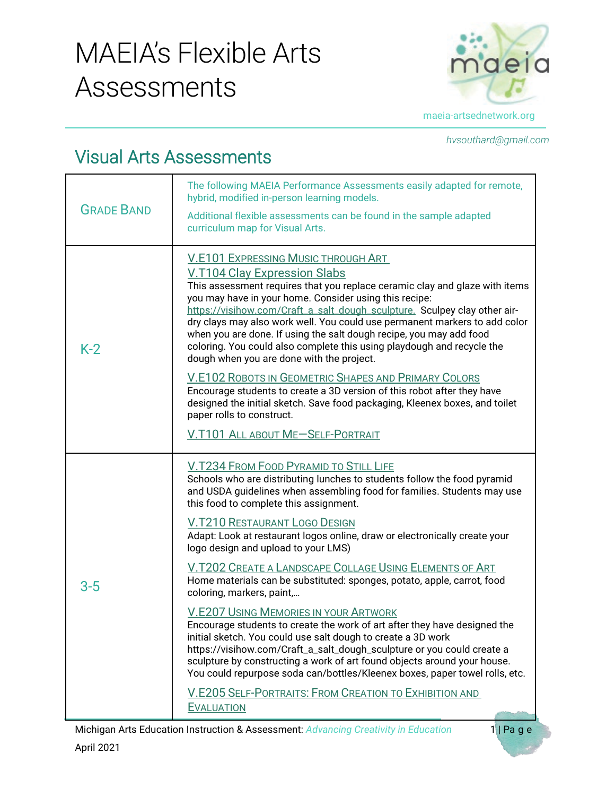## MAEIA's Flexible Arts Assessments



*hvsouthard@gmail.com*

## Visual Arts Assessments

| <b>GRADE BAND</b> | The following MAEIA Performance Assessments easily adapted for remote,<br>hybrid, modified in-person learning models.<br>Additional flexible assessments can be found in the sample adapted<br>curriculum map for Visual Arts.                                                                                                                                                                                                                                                                                                                                                                                                                                                                                                                                                                                                                                          |
|-------------------|-------------------------------------------------------------------------------------------------------------------------------------------------------------------------------------------------------------------------------------------------------------------------------------------------------------------------------------------------------------------------------------------------------------------------------------------------------------------------------------------------------------------------------------------------------------------------------------------------------------------------------------------------------------------------------------------------------------------------------------------------------------------------------------------------------------------------------------------------------------------------|
| $K-2$             | V.E101 EXPRESSING MUSIC THROUGH ART<br><b>V.T104 Clay Expression Slabs</b><br>This assessment requires that you replace ceramic clay and glaze with items<br>you may have in your home. Consider using this recipe:<br>https://visihow.com/Craft_a_salt_dough_sculpture. Sculpey clay other air-<br>dry clays may also work well. You could use permanent markers to add color<br>when you are done. If using the salt dough recipe, you may add food<br>coloring. You could also complete this using playdough and recycle the<br>dough when you are done with the project.<br><b>V.E102 ROBOTS IN GEOMETRIC SHAPES AND PRIMARY COLORS</b><br>Encourage students to create a 3D version of this robot after they have<br>designed the initial sketch. Save food packaging, Kleenex boxes, and toilet<br>paper rolls to construct.<br>V.T101 ALL ABOUT ME-SELF-PORTRAIT |
|                   |                                                                                                                                                                                                                                                                                                                                                                                                                                                                                                                                                                                                                                                                                                                                                                                                                                                                         |
| 3-5               | V.T234 FROM FOOD PYRAMID TO STILL LIFE<br>Schools who are distributing lunches to students follow the food pyramid<br>and USDA guidelines when assembling food for families. Students may use<br>this food to complete this assignment.                                                                                                                                                                                                                                                                                                                                                                                                                                                                                                                                                                                                                                 |
|                   | <b>V.T210 RESTAURANT LOGO DESIGN</b><br>Adapt: Look at restaurant logos online, draw or electronically create your<br>logo design and upload to your LMS)                                                                                                                                                                                                                                                                                                                                                                                                                                                                                                                                                                                                                                                                                                               |
|                   | V.T202 CREATE A LANDSCAPE COLLAGE USING ELEMENTS OF ART<br>Home materials can be substituted: sponges, potato, apple, carrot, food<br>coloring, markers, paint,                                                                                                                                                                                                                                                                                                                                                                                                                                                                                                                                                                                                                                                                                                         |
|                   | V.E207 USING MEMORIES IN YOUR ARTWORK<br>Encourage students to create the work of art after they have designed the<br>initial sketch. You could use salt dough to create a 3D work<br>https://visihow.com/Craft_a_salt_dough_sculpture or you could create a<br>sculpture by constructing a work of art found objects around your house.<br>You could repurpose soda can/bottles/Kleenex boxes, paper towel rolls, etc.                                                                                                                                                                                                                                                                                                                                                                                                                                                 |
|                   | V.E205 SELF-PORTRAITS: FROM CREATION TO EXHIBITION AND<br><b>EVALUATION</b>                                                                                                                                                                                                                                                                                                                                                                                                                                                                                                                                                                                                                                                                                                                                                                                             |

Michigan Arts Education Instruction & Assessment: *Advancing Creativity in Education* 1 | Page April 2021